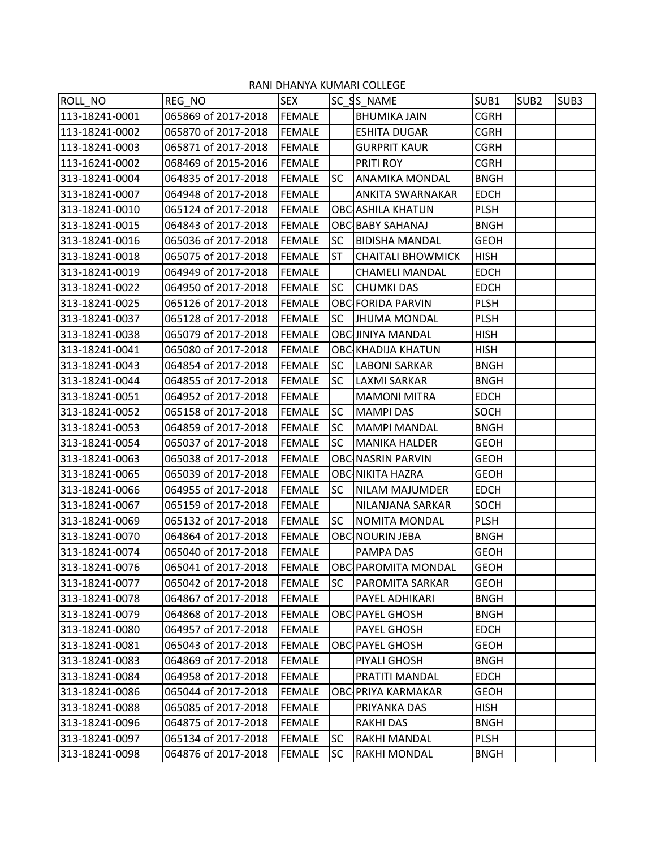| ROLL_NO        | REG NO              | <b>SEX</b>    |           | SC SS NAME                 | SUB1        | SUB <sub>2</sub> | SUB <sub>3</sub> |
|----------------|---------------------|---------------|-----------|----------------------------|-------------|------------------|------------------|
| 113-18241-0001 | 065869 of 2017-2018 | <b>FEMALE</b> |           | <b>BHUMIKA JAIN</b>        | <b>CGRH</b> |                  |                  |
| 113-18241-0002 | 065870 of 2017-2018 | <b>FEMALE</b> |           | <b>ESHITA DUGAR</b>        | <b>CGRH</b> |                  |                  |
| 113-18241-0003 | 065871 of 2017-2018 | <b>FEMALE</b> |           | <b>GURPRIT KAUR</b>        | <b>CGRH</b> |                  |                  |
| 113-16241-0002 | 068469 of 2015-2016 | <b>FEMALE</b> |           | PRITI ROY                  | <b>CGRH</b> |                  |                  |
| 313-18241-0004 | 064835 of 2017-2018 | <b>FEMALE</b> | <b>SC</b> | <b>ANAMIKA MONDAL</b>      | <b>BNGH</b> |                  |                  |
| 313-18241-0007 | 064948 of 2017-2018 | <b>FEMALE</b> |           | ANKITA SWARNAKAR           | <b>EDCH</b> |                  |                  |
| 313-18241-0010 | 065124 of 2017-2018 | <b>FEMALE</b> |           | <b>OBC</b> ASHILA KHATUN   | <b>PLSH</b> |                  |                  |
| 313-18241-0015 | 064843 of 2017-2018 | <b>FEMALE</b> |           | <b>OBC BABY SAHANAJ</b>    | <b>BNGH</b> |                  |                  |
| 313-18241-0016 | 065036 of 2017-2018 | <b>FEMALE</b> | <b>SC</b> | <b>BIDISHA MANDAL</b>      | <b>GEOH</b> |                  |                  |
| 313-18241-0018 | 065075 of 2017-2018 | <b>FEMALE</b> | <b>ST</b> | <b>CHAITALI BHOWMICK</b>   | <b>HISH</b> |                  |                  |
| 313-18241-0019 | 064949 of 2017-2018 | <b>FEMALE</b> |           | <b>CHAMELI MANDAL</b>      | <b>EDCH</b> |                  |                  |
| 313-18241-0022 | 064950 of 2017-2018 | <b>FEMALE</b> | <b>SC</b> | <b>CHUMKI DAS</b>          | <b>EDCH</b> |                  |                  |
| 313-18241-0025 | 065126 of 2017-2018 | <b>FEMALE</b> |           | <b>OBC FORIDA PARVIN</b>   | <b>PLSH</b> |                  |                  |
| 313-18241-0037 | 065128 of 2017-2018 | <b>FEMALE</b> | <b>SC</b> | <b>JHUMA MONDAL</b>        | <b>PLSH</b> |                  |                  |
| 313-18241-0038 | 065079 of 2017-2018 | <b>FEMALE</b> |           | <b>OBC JINIYA MANDAL</b>   | <b>HISH</b> |                  |                  |
| 313-18241-0041 | 065080 of 2017-2018 | <b>FEMALE</b> |           | <b>OBC KHADIJA KHATUN</b>  | <b>HISH</b> |                  |                  |
| 313-18241-0043 | 064854 of 2017-2018 | <b>FEMALE</b> | <b>SC</b> | <b>LABONI SARKAR</b>       | <b>BNGH</b> |                  |                  |
| 313-18241-0044 | 064855 of 2017-2018 | <b>FEMALE</b> | <b>SC</b> | LAXMI SARKAR               | <b>BNGH</b> |                  |                  |
| 313-18241-0051 | 064952 of 2017-2018 | <b>FEMALE</b> |           | <b>MAMONI MITRA</b>        | <b>EDCH</b> |                  |                  |
| 313-18241-0052 | 065158 of 2017-2018 | <b>FEMALE</b> | <b>SC</b> | <b>MAMPI DAS</b>           | <b>SOCH</b> |                  |                  |
| 313-18241-0053 | 064859 of 2017-2018 | <b>FEMALE</b> | <b>SC</b> | <b>MAMPI MANDAL</b>        | <b>BNGH</b> |                  |                  |
| 313-18241-0054 | 065037 of 2017-2018 | <b>FEMALE</b> | <b>SC</b> | <b>MANIKA HALDER</b>       | <b>GEOH</b> |                  |                  |
| 313-18241-0063 | 065038 of 2017-2018 | <b>FEMALE</b> |           | <b>OBC NASRIN PARVIN</b>   | <b>GEOH</b> |                  |                  |
| 313-18241-0065 | 065039 of 2017-2018 | <b>FEMALE</b> |           | <b>OBC NIKITA HAZRA</b>    | <b>GEOH</b> |                  |                  |
| 313-18241-0066 | 064955 of 2017-2018 | <b>FEMALE</b> | <b>SC</b> | <b>NILAM MAJUMDER</b>      | <b>EDCH</b> |                  |                  |
| 313-18241-0067 | 065159 of 2017-2018 | <b>FEMALE</b> |           | NILANJANA SARKAR           | <b>SOCH</b> |                  |                  |
| 313-18241-0069 | 065132 of 2017-2018 | <b>FEMALE</b> | <b>SC</b> | <b>NOMITA MONDAL</b>       | <b>PLSH</b> |                  |                  |
| 313-18241-0070 | 064864 of 2017-2018 | <b>FEMALE</b> |           | <b>OBC NOURIN JEBA</b>     | <b>BNGH</b> |                  |                  |
| 313-18241-0074 | 065040 of 2017-2018 | <b>FEMALE</b> |           | PAMPA DAS                  | <b>GEOH</b> |                  |                  |
| 313-18241-0076 | 065041 of 2017-2018 | FEMALE        |           | <b>OBC PAROMITA MONDAL</b> | <b>GEOH</b> |                  |                  |
| 313-18241-0077 | 065042 of 2017-2018 | <b>FEMALE</b> | <b>SC</b> | <b>PAROMITA SARKAR</b>     | <b>GEOH</b> |                  |                  |
| 313-18241-0078 | 064867 of 2017-2018 | <b>FEMALE</b> |           | PAYEL ADHIKARI             | <b>BNGH</b> |                  |                  |
| 313-18241-0079 | 064868 of 2017-2018 | <b>FEMALE</b> |           | OBC PAYEL GHOSH            | <b>BNGH</b> |                  |                  |
| 313-18241-0080 | 064957 of 2017-2018 | <b>FEMALE</b> |           | PAYEL GHOSH                | <b>EDCH</b> |                  |                  |
| 313-18241-0081 | 065043 of 2017-2018 | <b>FEMALE</b> |           | OBC PAYEL GHOSH            | <b>GEOH</b> |                  |                  |
| 313-18241-0083 | 064869 of 2017-2018 | FEMALE        |           | PIYALI GHOSH               | <b>BNGH</b> |                  |                  |
| 313-18241-0084 | 064958 of 2017-2018 | <b>FEMALE</b> |           | PRATITI MANDAL             | <b>EDCH</b> |                  |                  |
| 313-18241-0086 | 065044 of 2017-2018 | <b>FEMALE</b> |           | <b>OBC PRIYA KARMAKAR</b>  | <b>GEOH</b> |                  |                  |
| 313-18241-0088 | 065085 of 2017-2018 | <b>FEMALE</b> |           | PRIYANKA DAS               | <b>HISH</b> |                  |                  |
| 313-18241-0096 | 064875 of 2017-2018 | <b>FEMALE</b> |           | <b>RAKHI DAS</b>           | <b>BNGH</b> |                  |                  |
| 313-18241-0097 | 065134 of 2017-2018 | <b>FEMALE</b> | SC        | RAKHI MANDAL               | <b>PLSH</b> |                  |                  |
| 313-18241-0098 | 064876 of 2017-2018 | <b>FEMALE</b> | <b>SC</b> | RAKHI MONDAL               | <b>BNGH</b> |                  |                  |

## RANI DHANYA KUMARI COLLEGE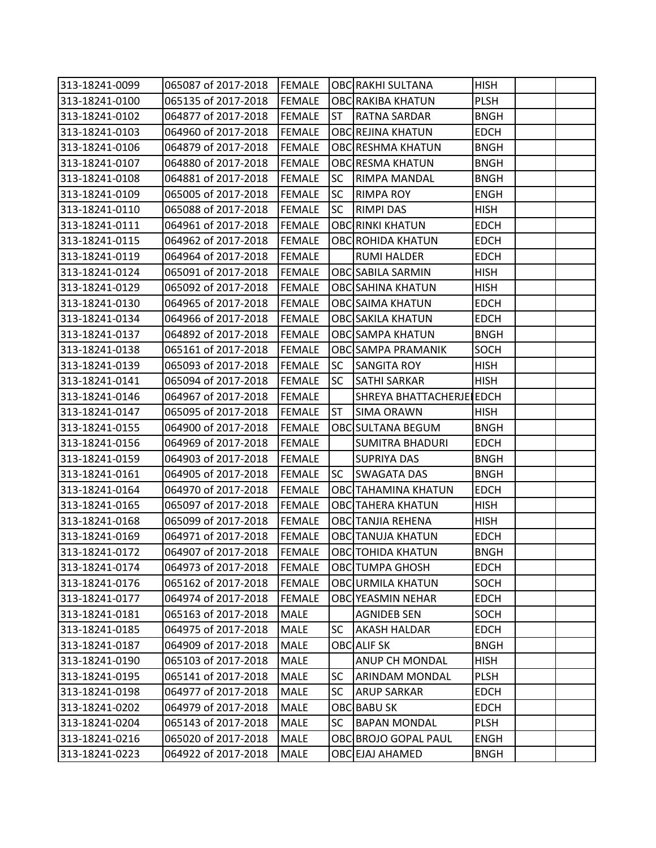| 313-18241-0099 | 065087 of 2017-2018        | <b>FEMALE</b> |           | <b>OBC RAKHI SULTANA</b>   | <b>HISH</b> |  |
|----------------|----------------------------|---------------|-----------|----------------------------|-------------|--|
| 313-18241-0100 | 065135 of 2017-2018        | FEMALE        |           | <b>OBCIRAKIBA KHATUN</b>   | <b>PLSH</b> |  |
| 313-18241-0102 | 064877 of 2017-2018        | <b>FEMALE</b> | ST        | <b>RATNA SARDAR</b>        | <b>BNGH</b> |  |
| 313-18241-0103 | 064960 of 2017-2018        | <b>FEMALE</b> |           | <b>OBC REJINA KHATUN</b>   | <b>EDCH</b> |  |
| 313-18241-0106 | 064879 of 2017-2018        | <b>FEMALE</b> |           | <b>OBC RESHMA KHATUN</b>   | <b>BNGH</b> |  |
| 313-18241-0107 | 064880 of 2017-2018        | <b>FEMALE</b> |           | <b>OBC RESMA KHATUN</b>    | <b>BNGH</b> |  |
| 313-18241-0108 | 064881 of 2017-2018        | <b>FEMALE</b> | <b>SC</b> | <b>RIMPA MANDAL</b>        | <b>BNGH</b> |  |
| 313-18241-0109 | 065005 of 2017-2018        | <b>FEMALE</b> | <b>SC</b> | <b>RIMPA ROY</b>           | <b>ENGH</b> |  |
| 313-18241-0110 | 065088 of 2017-2018        | <b>FEMALE</b> | <b>SC</b> | <b>RIMPI DAS</b>           | <b>HISH</b> |  |
| 313-18241-0111 | 064961 of 2017-2018        | <b>FEMALE</b> |           | <b>OBC RINKI KHATUN</b>    | <b>EDCH</b> |  |
| 313-18241-0115 | 064962 of 2017-2018        | <b>FEMALE</b> |           | <b>OBC ROHIDA KHATUN</b>   | <b>EDCH</b> |  |
| 313-18241-0119 | 064964 of 2017-2018        | <b>FEMALE</b> |           | <b>RUMI HALDER</b>         | <b>EDCH</b> |  |
| 313-18241-0124 | 065091 of 2017-2018        | <b>FEMALE</b> |           | <b>OBC SABILA SARMIN</b>   | <b>HISH</b> |  |
| 313-18241-0129 | 065092 of 2017-2018        | <b>FEMALE</b> |           | <b>OBC SAHINA KHATUN</b>   | <b>HISH</b> |  |
| 313-18241-0130 | 064965 of 2017-2018        | <b>FEMALE</b> |           | <b>OBC SAIMA KHATUN</b>    | <b>EDCH</b> |  |
| 313-18241-0134 | 064966 of 2017-2018        | <b>FEMALE</b> |           | <b>OBC SAKILA KHATUN</b>   | <b>EDCH</b> |  |
| 313-18241-0137 | 064892 of 2017-2018        | <b>FEMALE</b> |           | <b>OBC SAMPA KHATUN</b>    | <b>BNGH</b> |  |
| 313-18241-0138 | 065161 of 2017-2018        | <b>FEMALE</b> |           | <b>OBC SAMPA PRAMANIK</b>  | <b>SOCH</b> |  |
| 313-18241-0139 | 065093 of 2017-2018        | <b>FEMALE</b> | <b>SC</b> | <b>SANGITA ROY</b>         | <b>HISH</b> |  |
| 313-18241-0141 | 065094 of 2017-2018        | <b>FEMALE</b> | <b>SC</b> | <b>SATHI SARKAR</b>        | <b>HISH</b> |  |
| 313-18241-0146 | 064967 of 2017-2018        | <b>FEMALE</b> |           | SHREYA BHATTACHERJE EDCH   |             |  |
| 313-18241-0147 | 065095 of 2017-2018        | <b>FEMALE</b> | <b>ST</b> | <b>SIMA ORAWN</b>          | <b>HISH</b> |  |
| 313-18241-0155 | 064900 of 2017-2018        | <b>FEMALE</b> |           | OBC SULTANA BEGUM          | <b>BNGH</b> |  |
| 313-18241-0156 | 064969 of 2017-2018        | <b>FEMALE</b> |           | <b>SUMITRA BHADURI</b>     | <b>EDCH</b> |  |
| 313-18241-0159 | 064903 of 2017-2018        | <b>FEMALE</b> |           | <b>SUPRIYA DAS</b>         | <b>BNGH</b> |  |
| 313-18241-0161 | 064905 of 2017-2018        | <b>FEMALE</b> | <b>SC</b> | <b>SWAGATA DAS</b>         | <b>BNGH</b> |  |
| 313-18241-0164 | 064970 of 2017-2018        | <b>FEMALE</b> |           | <b>OBCITAHAMINA KHATUN</b> | <b>EDCH</b> |  |
| 313-18241-0165 | 065097 of 2017-2018        | <b>FEMALE</b> |           | <b>OBC</b> TAHERA KHATUN   | <b>HISH</b> |  |
| 313-18241-0168 | 065099 of 2017-2018        | <b>FEMALE</b> |           | <b>OBC</b> TANJIA REHENA   | <b>HISH</b> |  |
| 313-18241-0169 | 064971 of 2017-2018        | <b>FEMALE</b> |           | <b>OBC</b> TANUJA KHATUN   | <b>EDCH</b> |  |
| 313-18241-0172 | 064907 of 2017-2018 FEMALE |               |           | <b>OBC</b> TOHIDA KHATUN   | <b>BNGH</b> |  |
| 313-18241-0174 | 064973 of 2017-2018        | <b>FEMALE</b> |           | <b>OBC</b> TUMPA GHOSH     | <b>EDCH</b> |  |
| 313-18241-0176 | 065162 of 2017-2018        | <b>FEMALE</b> |           | <b>OBC URMILA KHATUN</b>   | <b>SOCH</b> |  |
| 313-18241-0177 | 064974 of 2017-2018        | <b>FEMALE</b> |           | <b>OBC YEASMIN NEHAR</b>   | <b>EDCH</b> |  |
| 313-18241-0181 | 065163 of 2017-2018        | <b>MALE</b>   |           | <b>AGNIDEB SEN</b>         | SOCH        |  |
| 313-18241-0185 | 064975 of 2017-2018        | <b>MALE</b>   | SC.       | <b>AKASH HALDAR</b>        | <b>EDCH</b> |  |
| 313-18241-0187 | 064909 of 2017-2018        | <b>MALE</b>   |           | <b>OBC</b> ALIF SK         | <b>BNGH</b> |  |
| 313-18241-0190 | 065103 of 2017-2018        | MALE          |           | <b>ANUP CH MONDAL</b>      | <b>HISH</b> |  |
| 313-18241-0195 | 065141 of 2017-2018        | <b>MALE</b>   | <b>SC</b> | <b>ARINDAM MONDAL</b>      | <b>PLSH</b> |  |
| 313-18241-0198 | 064977 of 2017-2018        | MALE          | <b>SC</b> | <b>ARUP SARKAR</b>         | <b>EDCH</b> |  |
| 313-18241-0202 | 064979 of 2017-2018        | <b>MALE</b>   |           | OBC BABU SK                | <b>EDCH</b> |  |
| 313-18241-0204 | 065143 of 2017-2018        | <b>MALE</b>   | SC        | <b>BAPAN MONDAL</b>        | <b>PLSH</b> |  |
| 313-18241-0216 | 065020 of 2017-2018        | MALE          |           | OBC BROJO GOPAL PAUL       | <b>ENGH</b> |  |
| 313-18241-0223 | 064922 of 2017-2018        | <b>MALE</b>   |           | <b>OBC EJAJ AHAMED</b>     | <b>BNGH</b> |  |
|                |                            |               |           |                            |             |  |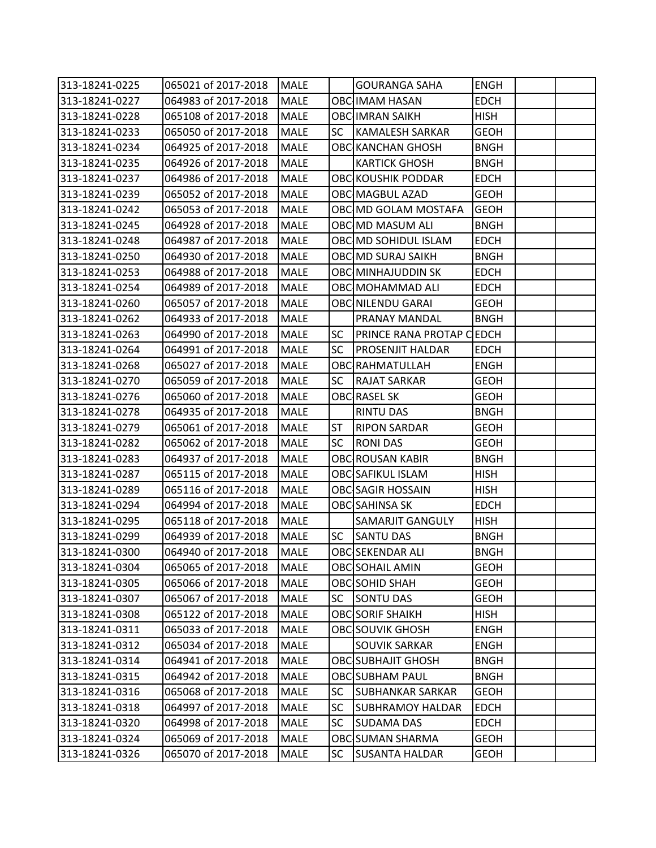| 313-18241-0225 | 065021 of 2017-2018      | <b>MALE</b> |           | <b>GOURANGA SAHA</b>      | <b>ENGH</b> |  |
|----------------|--------------------------|-------------|-----------|---------------------------|-------------|--|
| 313-18241-0227 | 064983 of 2017-2018      | <b>MALE</b> |           | <b>OBC IMAM HASAN</b>     | <b>EDCH</b> |  |
| 313-18241-0228 | 065108 of 2017-2018      | <b>MALE</b> |           | <b>OBC IMRAN SAIKH</b>    | <b>HISH</b> |  |
| 313-18241-0233 | 065050 of 2017-2018      | <b>MALE</b> | <b>SC</b> | <b>KAMALESH SARKAR</b>    | <b>GEOH</b> |  |
| 313-18241-0234 | 064925 of 2017-2018      | MALE        |           | <b>OBC KANCHAN GHOSH</b>  | <b>BNGH</b> |  |
| 313-18241-0235 | 064926 of 2017-2018      | <b>MALE</b> |           | <b>KARTICK GHOSH</b>      | <b>BNGH</b> |  |
| 313-18241-0237 | 064986 of 2017-2018      | MALE        |           | OBC KOUSHIK PODDAR        | <b>EDCH</b> |  |
| 313-18241-0239 | 065052 of 2017-2018      | <b>MALE</b> |           | <b>OBC MAGBUL AZAD</b>    | <b>GEOH</b> |  |
| 313-18241-0242 | 065053 of 2017-2018      | MALE        |           | OBC MD GOLAM MOSTAFA      | <b>GEOH</b> |  |
| 313-18241-0245 | 064928 of 2017-2018      | <b>MALE</b> |           | OBC MD MASUM ALI          | <b>BNGH</b> |  |
| 313-18241-0248 | 064987 of 2017-2018      | <b>MALE</b> |           | OBC MD SOHIDUL ISLAM      | <b>EDCH</b> |  |
| 313-18241-0250 | 064930 of 2017-2018      | MALE        |           | <b>OBC MD SURAJ SAIKH</b> | <b>BNGH</b> |  |
| 313-18241-0253 | 064988 of 2017-2018      | <b>MALE</b> |           | OBC MINHAJUDDIN SK        | <b>EDCH</b> |  |
| 313-18241-0254 | 064989 of 2017-2018      | MALE        |           | OBC MOHAMMAD ALI          | <b>EDCH</b> |  |
| 313-18241-0260 | 065057 of 2017-2018      | <b>MALE</b> |           | OBC NILENDU GARAI         | <b>GEOH</b> |  |
| 313-18241-0262 | 064933 of 2017-2018      | <b>MALE</b> |           | PRANAY MANDAL             | <b>BNGH</b> |  |
| 313-18241-0263 | 064990 of 2017-2018      | <b>MALE</b> | <b>SC</b> | PRINCE RANA PROTAP CEDCH  |             |  |
| 313-18241-0264 | 064991 of 2017-2018      | <b>MALE</b> | <b>SC</b> | <b>PROSENJIT HALDAR</b>   | <b>EDCH</b> |  |
| 313-18241-0268 | 065027 of 2017-2018      | MALE        |           | <b>OBC RAHMATULLAH</b>    | <b>ENGH</b> |  |
| 313-18241-0270 | 065059 of 2017-2018      | <b>MALE</b> | <b>SC</b> | <b>RAJAT SARKAR</b>       | <b>GEOH</b> |  |
| 313-18241-0276 | 065060 of 2017-2018      | <b>MALE</b> |           | <b>OBC RASEL SK</b>       | <b>GEOH</b> |  |
| 313-18241-0278 | 064935 of 2017-2018      | <b>MALE</b> |           | <b>RINTU DAS</b>          | <b>BNGH</b> |  |
| 313-18241-0279 | 065061 of 2017-2018      | MALE        | <b>ST</b> | <b>RIPON SARDAR</b>       | <b>GEOH</b> |  |
| 313-18241-0282 | 065062 of 2017-2018      | MALE        | <b>SC</b> | <b>RONIDAS</b>            | <b>GEOH</b> |  |
| 313-18241-0283 | 064937 of 2017-2018      | <b>MALE</b> |           | OBC ROUSAN KABIR          | <b>BNGH</b> |  |
| 313-18241-0287 | 065115 of 2017-2018      | MALE        |           | <b>OBC SAFIKUL ISLAM</b>  | <b>HISH</b> |  |
| 313-18241-0289 | 065116 of 2017-2018      | MALE        |           | <b>OBC SAGIR HOSSAIN</b>  | <b>HISH</b> |  |
| 313-18241-0294 | 064994 of 2017-2018      | MALE        |           | <b>OBC</b> SAHINSA SK     | <b>EDCH</b> |  |
| 313-18241-0295 | 065118 of 2017-2018      | <b>MALE</b> |           | <b>SAMARJIT GANGULY</b>   | <b>HISH</b> |  |
| 313-18241-0299 | 064939 of 2017-2018      | <b>MALE</b> | SC        | <b>SANTU DAS</b>          | <b>BNGH</b> |  |
| 313-18241-0300 | 064940 of 2017-2018 MALE |             |           | OBC SEKENDAR ALI          | <b>BNGH</b> |  |
| 313-18241-0304 | 065065 of 2017-2018      | <b>MALE</b> |           | <b>OBC SOHAIL AMIN</b>    | <b>GEOH</b> |  |
| 313-18241-0305 | 065066 of 2017-2018      | MALE        |           | <b>OBC</b> SOHID SHAH     | <b>GEOH</b> |  |
| 313-18241-0307 | 065067 of 2017-2018      | MALE        | SC        | <b>SONTU DAS</b>          | <b>GEOH</b> |  |
| 313-18241-0308 | 065122 of 2017-2018      | MALE        |           | <b>OBC SORIF SHAIKH</b>   | <b>HISH</b> |  |
| 313-18241-0311 | 065033 of 2017-2018      | MALE        |           | <b>OBC SOUVIK GHOSH</b>   | <b>ENGH</b> |  |
| 313-18241-0312 | 065034 of 2017-2018      | MALE        |           | <b>SOUVIK SARKAR</b>      | <b>ENGH</b> |  |
| 313-18241-0314 | 064941 of 2017-2018      | MALE        |           | <b>OBC SUBHAJIT GHOSH</b> | <b>BNGH</b> |  |
| 313-18241-0315 | 064942 of 2017-2018      | MALE        |           | <b>OBC SUBHAM PAUL</b>    | <b>BNGH</b> |  |
| 313-18241-0316 | 065068 of 2017-2018      | MALE        | SC        | <b>SUBHANKAR SARKAR</b>   | <b>GEOH</b> |  |
| 313-18241-0318 | 064997 of 2017-2018      | <b>MALE</b> | SC        | <b>SUBHRAMOY HALDAR</b>   | <b>EDCH</b> |  |
| 313-18241-0320 | 064998 of 2017-2018      | <b>MALE</b> | <b>SC</b> | <b>SUDAMA DAS</b>         | <b>EDCH</b> |  |
| 313-18241-0324 | 065069 of 2017-2018      | MALE        |           | <b>OBC SUMAN SHARMA</b>   | <b>GEOH</b> |  |
| 313-18241-0326 | 065070 of 2017-2018      | <b>MALE</b> | <b>SC</b> | <b>SUSANTA HALDAR</b>     | <b>GEOH</b> |  |
|                |                          |             |           |                           |             |  |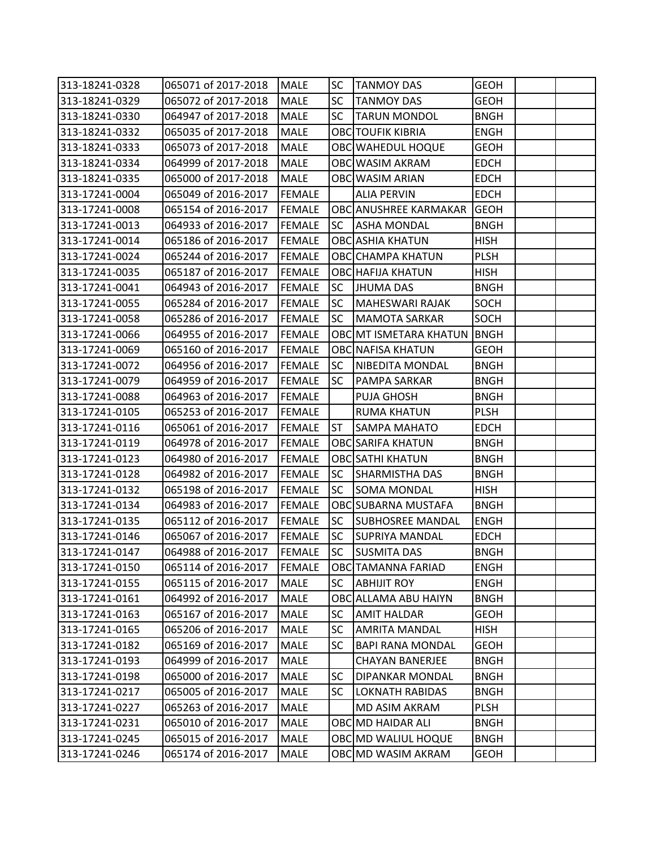| 313-18241-0328 | 065071 of 2017-2018                       | <b>MALE</b>   | <b>SC</b> | <b>TANMOY DAS</b>        | <b>GEOH</b> |  |
|----------------|-------------------------------------------|---------------|-----------|--------------------------|-------------|--|
| 313-18241-0329 | 065072 of 2017-2018                       | <b>MALE</b>   | <b>SC</b> | <b>TANMOY DAS</b>        | <b>GEOH</b> |  |
| 313-18241-0330 | 064947 of 2017-2018                       | <b>MALE</b>   | <b>SC</b> | <b>TARUN MONDOL</b>      | <b>BNGH</b> |  |
| 313-18241-0332 | 065035 of 2017-2018                       | MALE          |           | <b>OBC TOUFIK KIBRIA</b> | <b>ENGH</b> |  |
| 313-18241-0333 | 065073 of 2017-2018                       | MALE          |           | OBC WAHEDUL HOQUE        | <b>GEOH</b> |  |
| 313-18241-0334 | 064999 of 2017-2018                       | <b>MALE</b>   |           | OBC WASIM AKRAM          | <b>EDCH</b> |  |
| 313-18241-0335 | 065000 of 2017-2018                       | <b>MALE</b>   |           | OBC WASIM ARIAN          | <b>EDCH</b> |  |
| 313-17241-0004 | 065049 of 2016-2017                       | <b>FEMALE</b> |           | <b>ALIA PERVIN</b>       | <b>EDCH</b> |  |
| 313-17241-0008 | 065154 of 2016-2017                       | <b>FEMALE</b> |           | OBC ANUSHREE KARMAKAR    | <b>GEOH</b> |  |
| 313-17241-0013 | 064933 of 2016-2017                       | <b>FEMALE</b> | <b>SC</b> | <b>ASHA MONDAL</b>       | <b>BNGH</b> |  |
| 313-17241-0014 | 065186 of 2016-2017                       | <b>FEMALE</b> |           | <b>OBC</b> ASHIA KHATUN  | <b>HISH</b> |  |
| 313-17241-0024 | 065244 of 2016-2017                       | <b>FEMALE</b> |           | <b>OBC</b> CHAMPA KHATUN | <b>PLSH</b> |  |
| 313-17241-0035 | 065187 of 2016-2017                       | <b>FEMALE</b> |           | <b>OBC HAFIJA KHATUN</b> | <b>HISH</b> |  |
| 313-17241-0041 | 064943 of 2016-2017                       | <b>FEMALE</b> | <b>SC</b> | <b>JHUMA DAS</b>         | <b>BNGH</b> |  |
| 313-17241-0055 | 065284 of 2016-2017                       | <b>FEMALE</b> | <b>SC</b> | <b>MAHESWARI RAJAK</b>   | <b>SOCH</b> |  |
| 313-17241-0058 | 065286 of 2016-2017                       | <b>FEMALE</b> | <b>SC</b> | <b>MAMOTA SARKAR</b>     | SOCH        |  |
| 313-17241-0066 | 064955 of 2016-2017                       | <b>FEMALE</b> |           | OBC MT ISMETARA KHATUN   | <b>BNGH</b> |  |
| 313-17241-0069 | 065160 of 2016-2017                       | <b>FEMALE</b> |           | <b>OBC</b> NAFISA KHATUN | <b>GEOH</b> |  |
| 313-17241-0072 | 064956 of 2016-2017                       | <b>FEMALE</b> | <b>SC</b> | <b>NIBEDITA MONDAL</b>   | <b>BNGH</b> |  |
| 313-17241-0079 | 064959 of 2016-2017                       | <b>FEMALE</b> | <b>SC</b> | <b>PAMPA SARKAR</b>      | <b>BNGH</b> |  |
| 313-17241-0088 | 064963 of 2016-2017                       | <b>FEMALE</b> |           | <b>PUJA GHOSH</b>        | <b>BNGH</b> |  |
| 313-17241-0105 | 065253 of 2016-2017                       | <b>FEMALE</b> |           | <b>RUMA KHATUN</b>       | <b>PLSH</b> |  |
| 313-17241-0116 | 065061 of 2016-2017                       | <b>FEMALE</b> | <b>ST</b> | <b>SAMPA MAHATO</b>      | <b>EDCH</b> |  |
| 313-17241-0119 | 064978 of 2016-2017                       | <b>FEMALE</b> |           | <b>OBC</b> SARIFA KHATUN | <b>BNGH</b> |  |
| 313-17241-0123 | 064980 of 2016-2017                       | <b>FEMALE</b> |           | <b>OBC</b> SATHI KHATUN  | <b>BNGH</b> |  |
| 313-17241-0128 | 064982 of 2016-2017                       | <b>FEMALE</b> | <b>SC</b> | <b>SHARMISTHA DAS</b>    | <b>BNGH</b> |  |
| 313-17241-0132 | 065198 of 2016-2017                       | <b>FEMALE</b> | <b>SC</b> | <b>SOMA MONDAL</b>       | <b>HISH</b> |  |
| 313-17241-0134 | 064983 of 2016-2017                       | <b>FEMALE</b> |           | OBC SUBARNA MUSTAFA      | <b>BNGH</b> |  |
| 313-17241-0135 | 065112 of 2016-2017                       | <b>FEMALE</b> | <b>SC</b> | <b>SUBHOSREE MANDAL</b>  | <b>ENGH</b> |  |
| 313-17241-0146 | 065067 of 2016-2017                       | <b>FEMALE</b> | <b>SC</b> | <b>SUPRIYA MANDAL</b>    | <b>EDCH</b> |  |
| 313-17241-0147 | 064988 of 2016-2017 FEMALE SC SUSMITA DAS |               |           |                          | <b>BNGH</b> |  |
| 313-17241-0150 | 065114 of 2016-2017                       | <b>FEMALE</b> |           | OBC TAMANNA FARIAD       | <b>ENGH</b> |  |
| 313-17241-0155 | 065115 of 2016-2017                       | MALE          | <b>SC</b> | <b>ABHIJIT ROY</b>       | <b>ENGH</b> |  |
| 313-17241-0161 | 064992 of 2016-2017                       | <b>MALE</b>   |           | OBC ALLAMA ABU HAIYN     | <b>BNGH</b> |  |
| 313-17241-0163 | 065167 of 2016-2017                       | MALE          | <b>SC</b> | <b>AMIT HALDAR</b>       | <b>GEOH</b> |  |
| 313-17241-0165 | 065206 of 2016-2017                       | MALE          | <b>SC</b> | <b>AMRITA MANDAL</b>     | <b>HISH</b> |  |
| 313-17241-0182 | 065169 of 2016-2017                       | <b>MALE</b>   | <b>SC</b> | <b>BAPI RANA MONDAL</b>  | <b>GEOH</b> |  |
| 313-17241-0193 | 064999 of 2016-2017                       | MALE          |           | <b>CHAYAN BANERJEE</b>   | <b>BNGH</b> |  |
| 313-17241-0198 | 065000 of 2016-2017                       | <b>MALE</b>   | <b>SC</b> | <b>DIPANKAR MONDAL</b>   | <b>BNGH</b> |  |
| 313-17241-0217 | 065005 of 2016-2017                       | MALE          | <b>SC</b> | <b>LOKNATH RABIDAS</b>   | <b>BNGH</b> |  |
| 313-17241-0227 | 065263 of 2016-2017                       | <b>MALE</b>   |           | MD ASIM AKRAM            | <b>PLSH</b> |  |
| 313-17241-0231 | 065010 of 2016-2017                       | MALE          |           | OBC MD HAIDAR ALI        | <b>BNGH</b> |  |
| 313-17241-0245 | 065015 of 2016-2017                       | MALE          |           | OBC MD WALIUL HOQUE      | <b>BNGH</b> |  |
| 313-17241-0246 | 065174 of 2016-2017                       | <b>MALE</b>   |           | OBC MD WASIM AKRAM       | <b>GEOH</b> |  |
|                |                                           |               |           |                          |             |  |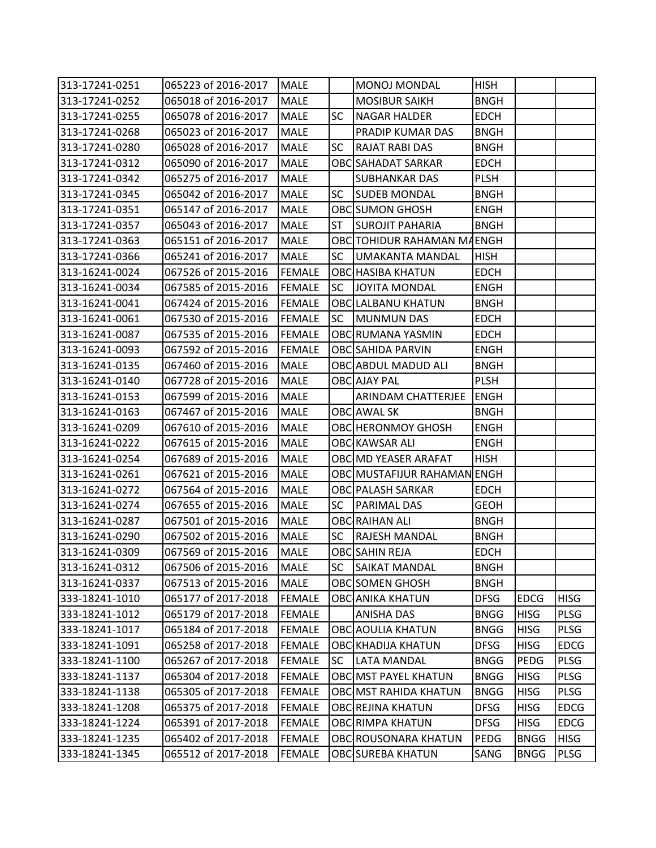| 313-17241-0251 | 065223 of 2016-2017 | <b>MALE</b>   |           | MONOJ MONDAL                | <b>HISH</b> |             |             |
|----------------|---------------------|---------------|-----------|-----------------------------|-------------|-------------|-------------|
| 313-17241-0252 | 065018 of 2016-2017 | <b>MALE</b>   |           | <b>MOSIBUR SAIKH</b>        | <b>BNGH</b> |             |             |
| 313-17241-0255 | 065078 of 2016-2017 | <b>MALE</b>   | <b>SC</b> | <b>NAGAR HALDER</b>         | <b>EDCH</b> |             |             |
| 313-17241-0268 | 065023 of 2016-2017 | <b>MALE</b>   |           | PRADIP KUMAR DAS            | <b>BNGH</b> |             |             |
| 313-17241-0280 | 065028 of 2016-2017 | MALE          | <b>SC</b> | <b>RAJAT RABI DAS</b>       | <b>BNGH</b> |             |             |
| 313-17241-0312 | 065090 of 2016-2017 | <b>MALE</b>   |           | OBC SAHADAT SARKAR          | <b>EDCH</b> |             |             |
| 313-17241-0342 | 065275 of 2016-2017 | <b>MALE</b>   |           | <b>SUBHANKAR DAS</b>        | <b>PLSH</b> |             |             |
| 313-17241-0345 | 065042 of 2016-2017 | <b>MALE</b>   | <b>SC</b> | <b>SUDEB MONDAL</b>         | <b>BNGH</b> |             |             |
| 313-17241-0351 | 065147 of 2016-2017 | <b>MALE</b>   |           | <b>OBC</b> SUMON GHOSH      | <b>ENGH</b> |             |             |
| 313-17241-0357 | 065043 of 2016-2017 | <b>MALE</b>   | ST        | <b>SUROJIT PAHARIA</b>      | <b>BNGH</b> |             |             |
| 313-17241-0363 | 065151 of 2016-2017 | <b>MALE</b>   |           | OBC TOHIDUR RAHAMAN MAENGH  |             |             |             |
| 313-17241-0366 | 065241 of 2016-2017 | <b>MALE</b>   | SC        | UMAKANTA MANDAL             | <b>HISH</b> |             |             |
| 313-16241-0024 | 067526 of 2015-2016 | <b>FEMALE</b> |           | <b>OBC HASIBA KHATUN</b>    | <b>EDCH</b> |             |             |
| 313-16241-0034 | 067585 of 2015-2016 | <b>FEMALE</b> | <b>SC</b> | JOYITA MONDAL               | <b>ENGH</b> |             |             |
| 313-16241-0041 | 067424 of 2015-2016 | <b>FEMALE</b> |           | <b>OBC LALBANU KHATUN</b>   | <b>BNGH</b> |             |             |
| 313-16241-0061 | 067530 of 2015-2016 | <b>FEMALE</b> | SC        | MUNMUN DAS                  | <b>EDCH</b> |             |             |
| 313-16241-0087 | 067535 of 2015-2016 | <b>FEMALE</b> |           | OBC RUMANA YASMIN           | <b>EDCH</b> |             |             |
| 313-16241-0093 | 067592 of 2015-2016 | <b>FEMALE</b> |           | OBC SAHIDA PARVIN           | <b>ENGH</b> |             |             |
| 313-16241-0135 | 067460 of 2015-2016 | <b>MALE</b>   |           | OBC ABDUL MADUD ALI         | <b>BNGH</b> |             |             |
| 313-16241-0140 | 067728 of 2015-2016 | <b>MALE</b>   |           | <b>OBC</b> AJAY PAL         | <b>PLSH</b> |             |             |
| 313-16241-0153 | 067599 of 2015-2016 | <b>MALE</b>   |           | ARINDAM CHATTERJEE          | <b>ENGH</b> |             |             |
| 313-16241-0163 | 067467 of 2015-2016 | MALE          |           | OBCLAWAL SK                 | <b>BNGH</b> |             |             |
| 313-16241-0209 | 067610 of 2015-2016 | <b>MALE</b>   |           | OBC HERONMOY GHOSH          | <b>ENGH</b> |             |             |
| 313-16241-0222 | 067615 of 2015-2016 | MALE          |           | OBC KAWSAR ALI              | <b>ENGH</b> |             |             |
| 313-16241-0254 | 067689 of 2015-2016 | <b>MALE</b>   |           | OBC MD YEASER ARAFAT        | <b>HISH</b> |             |             |
| 313-16241-0261 | 067621 of 2015-2016 | <b>MALE</b>   |           | OBC MUSTAFIJUR RAHAMAN ENGH |             |             |             |
| 313-16241-0272 | 067564 of 2015-2016 | <b>MALE</b>   |           | OBC PALASH SARKAR           | <b>EDCH</b> |             |             |
| 313-16241-0274 | 067655 of 2015-2016 | <b>MALE</b>   | <b>SC</b> | PARIMAL DAS                 | <b>GEOH</b> |             |             |
| 313-16241-0287 | 067501 of 2015-2016 | <b>MALE</b>   |           | <b>OBC RAIHAN ALI</b>       | <b>BNGH</b> |             |             |
| 313-16241-0290 | 067502 of 2015-2016 | <b>MALE</b>   | <b>SC</b> | RAJESH MANDAL               | <b>BNGH</b> |             |             |
| 313-16241-0309 | 067569 of 2015-2016 | <b>MALE</b>   |           | OBCSAHIN REJA               | <b>EDCH</b> |             |             |
| 313-16241-0312 | 067506 of 2015-2016 | <b>MALE</b>   | <b>SC</b> | <b>SAIKAT MANDAL</b>        | <b>BNGH</b> |             |             |
| 313-16241-0337 | 067513 of 2015-2016 | <b>MALE</b>   |           | <b>OBC</b> SOMEN GHOSH      | <b>BNGH</b> |             |             |
| 333-18241-1010 | 065177 of 2017-2018 | <b>FEMALE</b> |           | <b>OBC</b> ANIKA KHATUN     | <b>DFSG</b> | <b>EDCG</b> | <b>HISG</b> |
| 333-18241-1012 | 065179 of 2017-2018 | <b>FEMALE</b> |           | <b>ANISHA DAS</b>           | <b>BNGG</b> | <b>HISG</b> | <b>PLSG</b> |
| 333-18241-1017 | 065184 of 2017-2018 | <b>FEMALE</b> |           | <b>OBC AOULIA KHATUN</b>    | <b>BNGG</b> | <b>HISG</b> | PLSG        |
| 333-18241-1091 | 065258 of 2017-2018 | <b>FEMALE</b> |           | <b>OBC KHADIJA KHATUN</b>   | <b>DFSG</b> | <b>HISG</b> | <b>EDCG</b> |
| 333-18241-1100 | 065267 of 2017-2018 | <b>FEMALE</b> | <b>SC</b> | <b>LATA MANDAL</b>          | <b>BNGG</b> | PEDG        | <b>PLSG</b> |
| 333-18241-1137 | 065304 of 2017-2018 | <b>FEMALE</b> |           | OBC MST PAYEL KHATUN        | <b>BNGG</b> | <b>HISG</b> | PLSG        |
| 333-18241-1138 | 065305 of 2017-2018 | <b>FEMALE</b> |           | OBC MST RAHIDA KHATUN       | <b>BNGG</b> | <b>HISG</b> | <b>PLSG</b> |
| 333-18241-1208 | 065375 of 2017-2018 | <b>FEMALE</b> |           | OBC REJINA KHATUN           | <b>DFSG</b> | <b>HISG</b> | <b>EDCG</b> |
| 333-18241-1224 | 065391 of 2017-2018 | <b>FEMALE</b> |           | <b>OBC RIMPA KHATUN</b>     | <b>DFSG</b> | <b>HISG</b> | <b>EDCG</b> |
| 333-18241-1235 | 065402 of 2017-2018 | <b>FEMALE</b> |           | OBC ROUSONARA KHATUN        | PEDG        | <b>BNGG</b> | <b>HISG</b> |
| 333-18241-1345 | 065512 of 2017-2018 | <b>FEMALE</b> |           | <b>OBC SUREBA KHATUN</b>    | SANG        | <b>BNGG</b> | <b>PLSG</b> |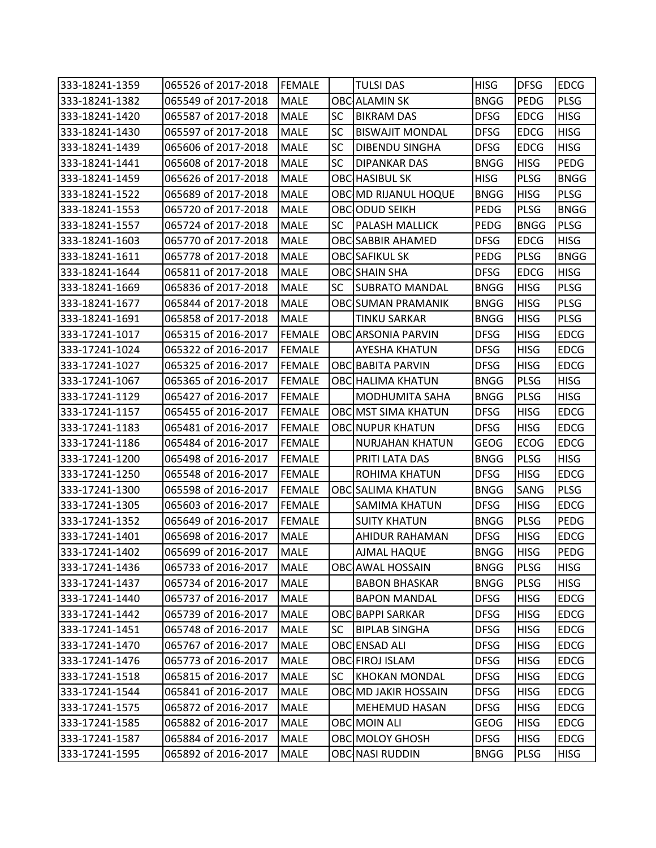| 333-18241-1359 | 065526 of 2017-2018 | <b>FEMALE</b> |           | <b>TULSI DAS</b>           | <b>HISG</b> | <b>DFSG</b> | <b>EDCG</b> |
|----------------|---------------------|---------------|-----------|----------------------------|-------------|-------------|-------------|
| 333-18241-1382 | 065549 of 2017-2018 | <b>MALE</b>   |           | <b>OBC</b> ALAMIN SK       | <b>BNGG</b> | PEDG        | <b>PLSG</b> |
| 333-18241-1420 | 065587 of 2017-2018 | <b>MALE</b>   | SC        | <b>BIKRAM DAS</b>          | <b>DFSG</b> | <b>EDCG</b> | <b>HISG</b> |
| 333-18241-1430 | 065597 of 2017-2018 | <b>MALE</b>   | <b>SC</b> | <b>BISWAJIT MONDAL</b>     | <b>DFSG</b> | <b>EDCG</b> | <b>HISG</b> |
| 333-18241-1439 | 065606 of 2017-2018 | <b>MALE</b>   | <b>SC</b> | DIBENDU SINGHA             | <b>DFSG</b> | <b>EDCG</b> | <b>HISG</b> |
| 333-18241-1441 | 065608 of 2017-2018 | MALE          | <b>SC</b> | DIPANKAR DAS               | <b>BNGG</b> | <b>HISG</b> | PEDG        |
| 333-18241-1459 | 065626 of 2017-2018 | MALE          |           | <b>OBC HASIBUL SK</b>      | <b>HISG</b> | <b>PLSG</b> | <b>BNGG</b> |
| 333-18241-1522 | 065689 of 2017-2018 | <b>MALE</b>   |           | OBC MD RIJANUL HOQUE       | <b>BNGG</b> | <b>HISG</b> | <b>PLSG</b> |
| 333-18241-1553 | 065720 of 2017-2018 | <b>MALE</b>   |           | OBCODUD SEIKH              | <b>PEDG</b> | <b>PLSG</b> | <b>BNGG</b> |
| 333-18241-1557 | 065724 of 2017-2018 | <b>MALE</b>   | <b>SC</b> | PALASH MALLICK             | PEDG        | <b>BNGG</b> | <b>PLSG</b> |
| 333-18241-1603 | 065770 of 2017-2018 | MALE          |           | <b>OBC SABBIR AHAMED</b>   | <b>DFSG</b> | <b>EDCG</b> | <b>HISG</b> |
| 333-18241-1611 | 065778 of 2017-2018 | MALE          |           | <b>OBC</b> SAFIKUL SK      | PEDG        | <b>PLSG</b> | <b>BNGG</b> |
| 333-18241-1644 | 065811 of 2017-2018 | <b>MALE</b>   |           | <b>OBC</b> SHAIN SHA       | <b>DFSG</b> | <b>EDCG</b> | <b>HISG</b> |
| 333-18241-1669 | 065836 of 2017-2018 | <b>MALE</b>   | <b>SC</b> | <b>SUBRATO MANDAL</b>      | <b>BNGG</b> | <b>HISG</b> | <b>PLSG</b> |
| 333-18241-1677 | 065844 of 2017-2018 | <b>MALE</b>   |           | <b>OBC SUMAN PRAMANIK</b>  | <b>BNGG</b> | <b>HISG</b> | PLSG        |
| 333-18241-1691 | 065858 of 2017-2018 | <b>MALE</b>   |           | <b>TINKU SARKAR</b>        | <b>BNGG</b> | <b>HISG</b> | PLSG        |
| 333-17241-1017 | 065315 of 2016-2017 | <b>FEMALE</b> |           | <b>OBC</b> ARSONIA PARVIN  | <b>DFSG</b> | <b>HISG</b> | <b>EDCG</b> |
| 333-17241-1024 | 065322 of 2016-2017 | <b>FEMALE</b> |           | AYESHA KHATUN              | <b>DFSG</b> | <b>HISG</b> | <b>EDCG</b> |
| 333-17241-1027 | 065325 of 2016-2017 | <b>FEMALE</b> |           | <b>OBC BABITA PARVIN</b>   | <b>DFSG</b> | <b>HISG</b> | <b>EDCG</b> |
| 333-17241-1067 | 065365 of 2016-2017 | <b>FEMALE</b> |           | <b>OBC HALIMA KHATUN</b>   | <b>BNGG</b> | <b>PLSG</b> | <b>HISG</b> |
| 333-17241-1129 | 065427 of 2016-2017 | <b>FEMALE</b> |           | <b>MODHUMITA SAHA</b>      | <b>BNGG</b> | <b>PLSG</b> | <b>HISG</b> |
| 333-17241-1157 | 065455 of 2016-2017 | <b>FEMALE</b> |           | <b>OBCIMST SIMA KHATUN</b> | <b>DFSG</b> | <b>HISG</b> | <b>EDCG</b> |
| 333-17241-1183 | 065481 of 2016-2017 | <b>FEMALE</b> |           | <b>OBC</b> NUPUR KHATUN    | <b>DFSG</b> | <b>HISG</b> | <b>EDCG</b> |
| 333-17241-1186 | 065484 of 2016-2017 | <b>FEMALE</b> |           | <b>NURJAHAN KHATUN</b>     | <b>GEOG</b> | <b>ECOG</b> | <b>EDCG</b> |
| 333-17241-1200 | 065498 of 2016-2017 | <b>FEMALE</b> |           | PRITI LATA DAS             | <b>BNGG</b> | <b>PLSG</b> | <b>HISG</b> |
| 333-17241-1250 | 065548 of 2016-2017 | <b>FEMALE</b> |           | ROHIMA KHATUN              | <b>DFSG</b> | <b>HISG</b> | <b>EDCG</b> |
| 333-17241-1300 | 065598 of 2016-2017 | <b>FEMALE</b> |           | <b>OBC SALIMA KHATUN</b>   | <b>BNGG</b> | SANG        | <b>PLSG</b> |
| 333-17241-1305 | 065603 of 2016-2017 | <b>FEMALE</b> |           | SAMIMA KHATUN              | <b>DFSG</b> | <b>HISG</b> | <b>EDCG</b> |
| 333-17241-1352 | 065649 of 2016-2017 | <b>FEMALE</b> |           | <b>SUITY KHATUN</b>        | <b>BNGG</b> | <b>PLSG</b> | PEDG        |
| 333-17241-1401 | 065698 of 2016-2017 | <b>MALE</b>   |           | AHIDUR RAHAMAN             | <b>DFSG</b> | <b>HISG</b> | <b>EDCG</b> |
| 333-17241-1402 | 065699 of 2016-2017 | <b>MALE</b>   |           | AJMAL HAQUE                | <b>BNGG</b> | <b>HISG</b> | PEDG        |
| 333-17241-1436 | 065733 of 2016-2017 | <b>MALE</b>   |           | OBC AWAL HOSSAIN           | <b>BNGG</b> | <b>PLSG</b> | <b>HISG</b> |
| 333-17241-1437 | 065734 of 2016-2017 | MALE          |           | <b>BABON BHASKAR</b>       | <b>BNGG</b> | <b>PLSG</b> | <b>HISG</b> |
| 333-17241-1440 | 065737 of 2016-2017 | <b>MALE</b>   |           | <b>BAPON MANDAL</b>        | <b>DFSG</b> | <b>HISG</b> | <b>EDCG</b> |
| 333-17241-1442 | 065739 of 2016-2017 | MALE          |           | <b>OBC BAPPI SARKAR</b>    | <b>DFSG</b> | <b>HISG</b> | <b>EDCG</b> |
| 333-17241-1451 | 065748 of 2016-2017 | MALE          | <b>SC</b> | <b>BIPLAB SINGHA</b>       | <b>DFSG</b> | <b>HISG</b> | <b>EDCG</b> |
| 333-17241-1470 | 065767 of 2016-2017 | MALE          |           | OBCENSAD ALI               | <b>DFSG</b> | <b>HISG</b> | <b>EDCG</b> |
| 333-17241-1476 | 065773 of 2016-2017 | <b>MALE</b>   |           | OBC FIROJ ISLAM            | <b>DFSG</b> | <b>HISG</b> | <b>EDCG</b> |
| 333-17241-1518 | 065815 of 2016-2017 | MALE          | <b>SC</b> | <b>KHOKAN MONDAL</b>       | <b>DFSG</b> | <b>HISG</b> | <b>EDCG</b> |
| 333-17241-1544 | 065841 of 2016-2017 | MALE          |           | OBC MD JAKIR HOSSAIN       | <b>DFSG</b> | <b>HISG</b> | <b>EDCG</b> |
| 333-17241-1575 | 065872 of 2016-2017 | MALE          |           | MEHEMUD HASAN              | <b>DFSG</b> | <b>HISG</b> | <b>EDCG</b> |
| 333-17241-1585 | 065882 of 2016-2017 | MALE          |           | OBC MOIN ALI               | <b>GEOG</b> | <b>HISG</b> | <b>EDCG</b> |
| 333-17241-1587 | 065884 of 2016-2017 | MALE          |           | OBC MOLOY GHOSH            | <b>DFSG</b> | <b>HISG</b> | <b>EDCG</b> |
| 333-17241-1595 | 065892 of 2016-2017 | <b>MALE</b>   |           | OBC NASI RUDDIN            | <b>BNGG</b> | <b>PLSG</b> | HISG        |